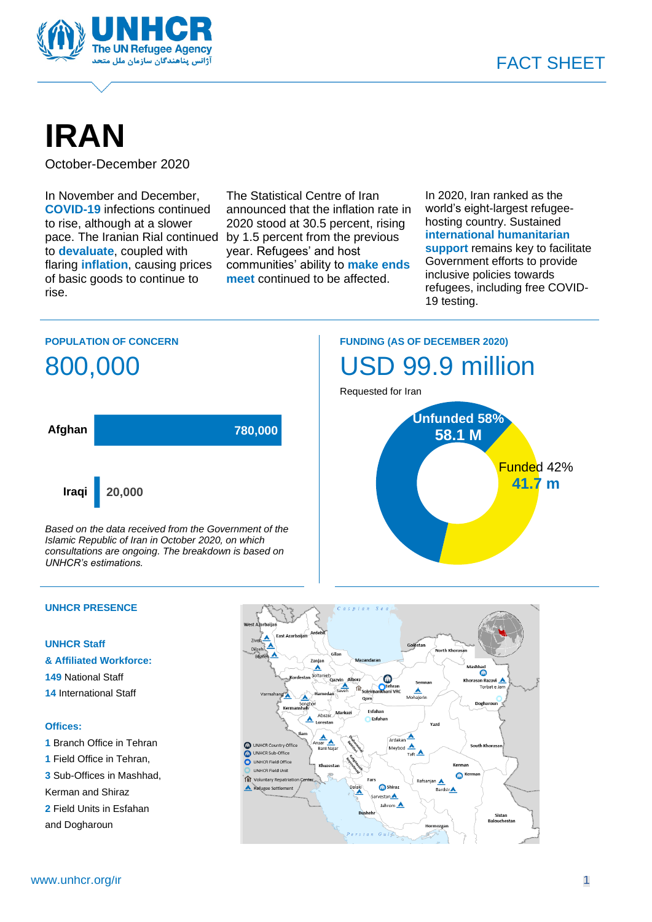

# **IRAN**

October-December 2020

In November and December, **COVID-19** infections continued to rise, although at a slower pace. The Iranian Rial continued by 1.5 percent from the previous to **devaluate**, coupled with flaring **inflation**, causing prices of basic goods to continue to rise.

The Statistical Centre of Iran announced that the inflation rate in 2020 stood at 30.5 percent, rising year. Refugees' and host communities' ability to **make ends meet** continued to be affected.

In 2020, Iran ranked as the world's eight-largest refugeehosting country. Sustained **international humanitarian support** remains key to facilitate Government efforts to provide inclusive policies towards refugees, including free COVID-19 testing.

### **POPULATION OF CONCERN**



*Based on the data received from the Government of the Islamic Republic of Iran in October 2020, on which consultations are ongoing. The breakdown is based on UNHCR's estimations.*

#### **UNHCR PRESENCE**

### **UNHCR Staff**

- **& Affiliated Workforce:**
- **149** National Staff
- **14** International Staff

#### **Offices:**

- **1** Branch Office in Tehran **1** Field Office in Tehran,
- **3** Sub-Offices in Mashhad,
- Kerman and Shiraz
- **2** Field Units in Esfahan
- and Dogharoun

## **FUNDING (AS OF DECEMBER 2020)** USD 99.9 million



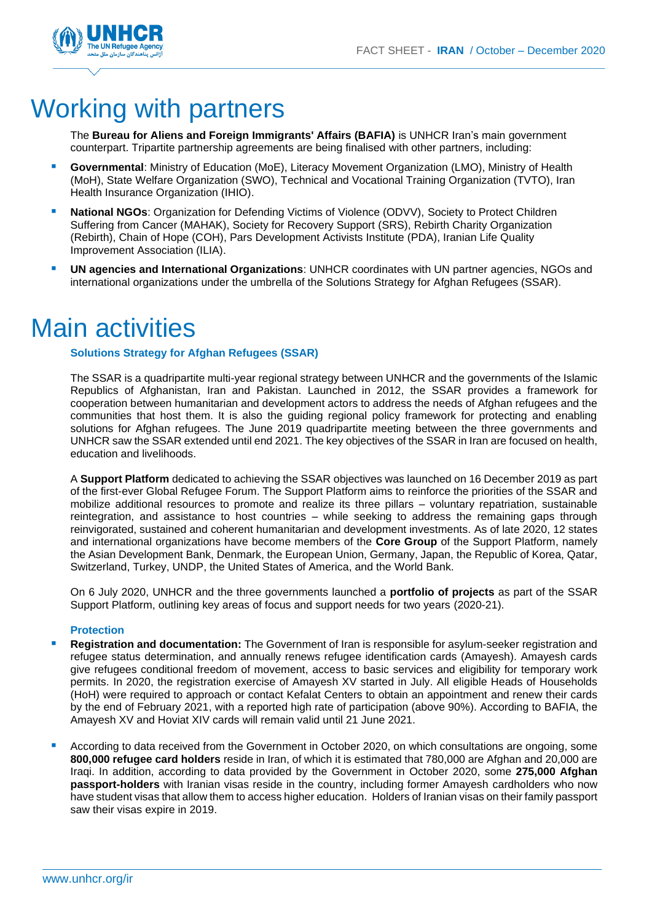

## Working with partners

The **Bureau for Aliens and Foreign Immigrants' Affairs (BAFIA)** is UNHCR Iran's main government counterpart. Tripartite partnership agreements are being finalised with other partners, including:

- **E** Governmental: Ministry of Education (MoE), Literacy Movement Organization (LMO), Ministry of Health (MoH), State Welfare Organization (SWO), Technical and Vocational Training Organization (TVTO), Iran Health Insurance Organization (IHIO).
- **E** National NGOs: Organization for Defending Victims of Violence (ODVV), Society to Protect Children Suffering from Cancer (MAHAK), Society for Recovery Support (SRS), Rebirth Charity Organization (Rebirth), Chain of Hope (COH), Pars Development Activists Institute (PDA), Iranian Life Quality Improvement Association (ILIA).
- **UN agencies and International Organizations**: UNHCR coordinates with UN partner agencies, NGOs and international organizations under the umbrella of the Solutions Strategy for Afghan Refugees (SSAR).

## Main activities

#### **Solutions Strategy for Afghan Refugees (SSAR)**

The SSAR is a quadripartite multi-year regional strategy between UNHCR and the governments of the Islamic Republics of Afghanistan, Iran and Pakistan. Launched in 2012, the SSAR provides a framework for cooperation between humanitarian and development actors to address the needs of Afghan refugees and the communities that host them. It is also the guiding regional policy framework for protecting and enabling solutions for Afghan refugees. The June 2019 quadripartite meeting between the three governments and UNHCR saw the SSAR extended until end 2021. The key objectives of the SSAR in Iran are focused on health, education and livelihoods.

A **Support Platform** dedicated to achieving the SSAR objectives was launched on 16 December 2019 as part of the first-ever Global Refugee Forum. The Support Platform aims to reinforce the priorities of the SSAR and mobilize additional resources to promote and realize its three pillars – voluntary repatriation, sustainable reintegration, and assistance to host countries – while seeking to address the remaining gaps through reinvigorated, sustained and coherent humanitarian and development investments. As of late 2020, 12 states and international organizations have become members of the **Core Group** of the Support Platform, namely the Asian Development Bank, Denmark, the European Union, Germany, Japan, the Republic of Korea, Qatar, Switzerland, Turkey, UNDP, the United States of America, and the World Bank.

On 6 July 2020, UNHCR and the three governments launched a **portfolio of projects** as part of the SSAR Support Platform, outlining key areas of focus and support needs for two years (2020-21).

#### **Protection**

- Registration and documentation: The Government of Iran is responsible for asylum-seeker registration and refugee status determination, and annually renews refugee identification cards (Amayesh). Amayesh cards give refugees conditional freedom of movement, access to basic services and eligibility for temporary work permits. In 2020, the registration exercise of Amayesh XV started in July. All eligible Heads of Households (HoH) were required to approach or contact Kefalat Centers to obtain an appointment and renew their cards by the end of February 2021, with a reported high rate of participation (above 90%). According to BAFIA, the Amayesh XV and Hoviat XIV cards will remain valid until 21 June 2021.
- According to data received from the Government in October 2020, on which consultations are ongoing, some **800,000 refugee card holders** reside in Iran, of which it is estimated that 780,000 are Afghan and 20,000 are Iraqi. In addition, according to data provided by the Government in October 2020, some **275,000 Afghan passport-holders** with Iranian visas reside in the country, including former Amayesh cardholders who now have student visas that allow them to access higher education. Holders of Iranian visas on their family passport saw their visas expire in 2019.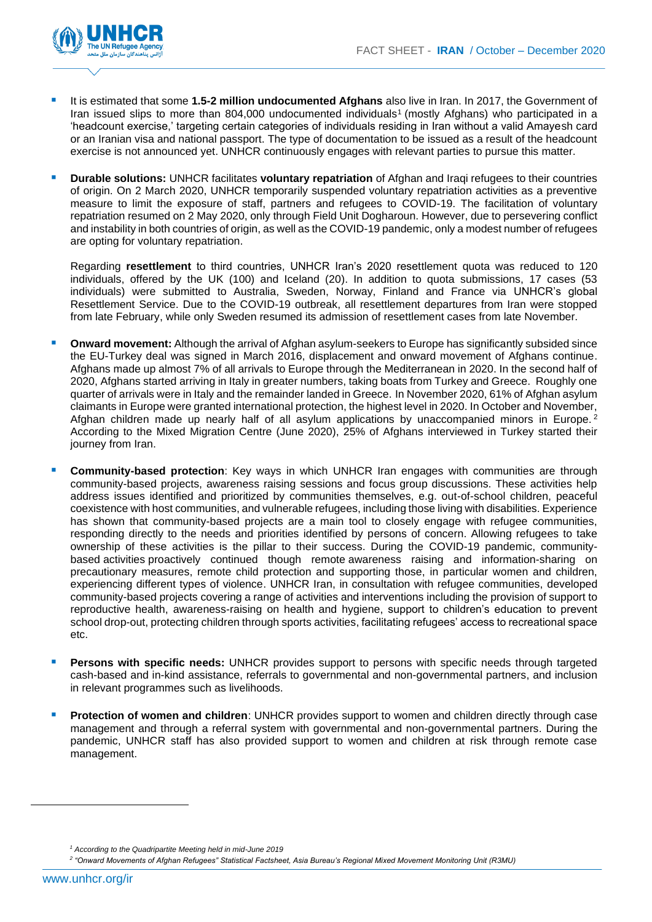

- It is estimated that some **1.5-2 million undocumented Afghans** also live in Iran. In 2017, the Government of Iran issued slips to more than 804,000 undocumented individuals<sup>1</sup> (mostly Afghans) who participated in a 'headcount exercise,' targeting certain categories of individuals residing in Iran without a valid Amayesh card or an Iranian visa and national passport. The type of documentation to be issued as a result of the headcount exercise is not announced yet. UNHCR continuously engages with relevant parties to pursue this matter.
- **Durable solutions:** UNHCR facilitates **voluntary repatriation** of Afghan and Iraqi refugees to their countries of origin. On 2 March 2020, UNHCR temporarily suspended voluntary repatriation activities as a preventive measure to limit the exposure of staff, partners and refugees to COVID-19. The facilitation of voluntary repatriation resumed on 2 May 2020, only through Field Unit Dogharoun. However, due to persevering conflict and instability in both countries of origin, as well as the COVID-19 pandemic, only a modest number of refugees are opting for voluntary repatriation.

Regarding **resettlement** to third countries, UNHCR Iran's 2020 resettlement quota was reduced to 120 individuals, offered by the UK (100) and Iceland (20). In addition to quota submissions, 17 cases (53 individuals) were submitted to Australia, Sweden, Norway, Finland and France via UNHCR's global Resettlement Service. Due to the COVID-19 outbreak, all resettlement departures from Iran were stopped from late February, while only Sweden resumed its admission of resettlement cases from late November.

- **Onward movement:** Although the arrival of Afghan asylum-seekers to Europe has significantly subsided since the EU-Turkey deal was signed in March 2016, displacement and onward movement of Afghans continue. Afghans made up almost 7% of all arrivals to Europe through the Mediterranean in 2020. In the second half of 2020, Afghans started arriving in Italy in greater numbers, taking boats from Turkey and Greece. Roughly one quarter of arrivals were in Italy and the remainder landed in Greece. In November 2020, 61% of Afghan asylum claimants in Europe were granted international protection, the highest level in 2020. In October and November, Afghan children made up nearly half of all asylum applications by unaccompanied minors in Europe.<sup>2</sup> According to the Mixed Migration Centre (June 2020), 25% of Afghans interviewed in Turkey started their journey from Iran.
- **Community-based protection**: Key ways in which UNHCR Iran engages with communities are through community-based projects, awareness raising sessions and focus group discussions. These activities help address issues identified and prioritized by communities themselves, e.g. out-of-school children, peaceful coexistence with host communities, and vulnerable refugees, including those living with disabilities. Experience has shown that community-based projects are a main tool to closely engage with refugee communities, responding directly to the needs and priorities identified by persons of concern. Allowing refugees to take ownership of these activities is the pillar to their success. During the COVID-19 pandemic, communitybased activities proactively continued though remote awareness raising and information-sharing on precautionary measures, remote child protection and supporting those, in particular women and children, experiencing different types of violence. UNHCR Iran, in consultation with refugee communities, developed community-based projects covering a range of activities and interventions including the provision of support to reproductive health, awareness-raising on health and hygiene, support to children's education to prevent school drop-out, protecting children through sports activities, facilitating refugees' access to recreational space etc.
- Persons with specific needs: UNHCR provides support to persons with specific needs through targeted cash-based and in-kind assistance, referrals to governmental and non-governmental partners, and inclusion in relevant programmes such as livelihoods.
- **Protection of women and children:** UNHCR provides support to women and children directly through case management and through a referral system with governmental and non-governmental partners. During the pandemic, UNHCR staff has also provided support to women and children at risk through remote case management.

*<sup>1</sup> According to the Quadripartite Meeting held in mid-June 2019*

*<sup>2</sup> "Onward Movements of Afghan Refugees" Statistical Factsheet, Asia Bureau's Regional Mixed Movement Monitoring Unit (R3MU)*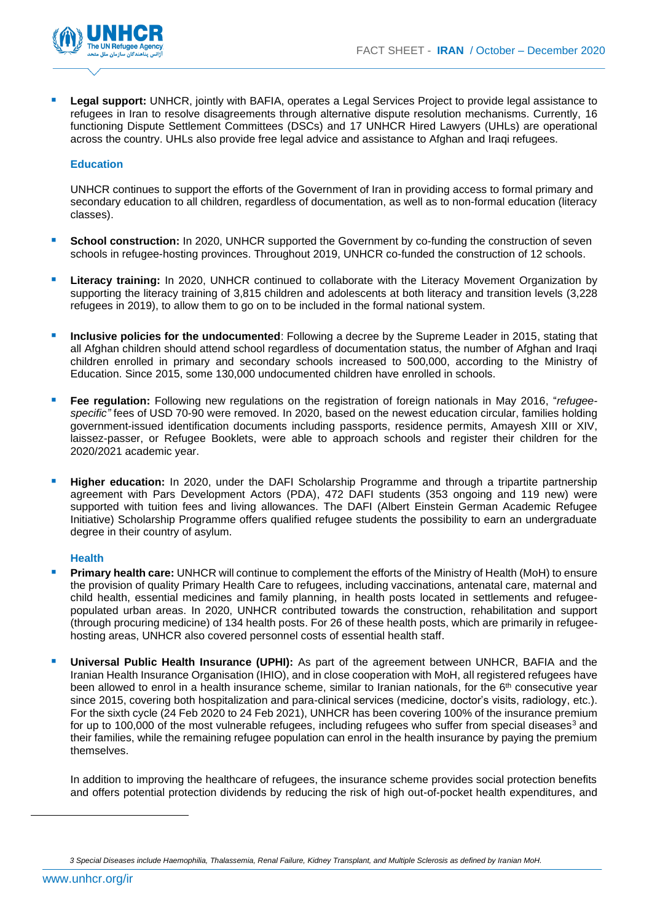

**Legal support:** UNHCR, jointly with BAFIA, operates a Legal Services Project to provide legal assistance to refugees in Iran to resolve disagreements through alternative dispute resolution mechanisms. Currently, 16 functioning Dispute Settlement Committees (DSCs) and 17 UNHCR Hired Lawyers (UHLs) are operational across the country. UHLs also provide free legal advice and assistance to Afghan and Iraqi refugees.

#### **Education**

UNHCR continues to support the efforts of the Government of Iran in providing access to formal primary and secondary education to all children, regardless of documentation, as well as to non-formal education (literacy classes).

- **School construction:** In 2020, UNHCR supported the Government by co-funding the construction of seven schools in refugee-hosting provinces. Throughout 2019, UNHCR co-funded the construction of 12 schools.
- **Literacy training:** In 2020, UNHCR continued to collaborate with the Literacy Movement Organization by supporting the literacy training of 3,815 children and adolescents at both literacy and transition levels (3,228 refugees in 2019), to allow them to go on to be included in the formal national system.
- **Inclusive policies for the undocumented**: Following a decree by the Supreme Leader in 2015, stating that all Afghan children should attend school regardless of documentation status, the number of Afghan and Iraqi children enrolled in primary and secondary schools increased to 500,000, according to the Ministry of Education. Since 2015, some 130,000 undocumented children have enrolled in schools.
- Fee regulation: Following new regulations on the registration of foreign nationals in May 2016, "*refugeespecific"* fees of USD 70-90 were removed. In 2020, based on the newest education circular, families holding government-issued identification documents including passports, residence permits, Amayesh XIII or XIV, laissez-passer, or Refugee Booklets, were able to approach schools and register their children for the 2020/2021 academic year.
- **Higher education:** In 2020, under the DAFI Scholarship Programme and through a tripartite partnership agreement with Pars Development Actors (PDA), 472 DAFI students (353 ongoing and 119 new) were supported with tuition fees and living allowances. The DAFI (Albert Einstein German Academic Refugee Initiative) Scholarship Programme offers qualified refugee students the possibility to earn an undergraduate degree in their country of asylum.

#### **Health**

- **Primary health care:** UNHCR will continue to complement the efforts of the Ministry of Health (MoH) to ensure the provision of quality Primary Health Care to refugees, including vaccinations, antenatal care, maternal and child health, essential medicines and family planning, in health posts located in settlements and refugeepopulated urban areas. In 2020, UNHCR contributed towards the construction, rehabilitation and support (through procuring medicine) of 134 health posts. For 26 of these health posts, which are primarily in refugeehosting areas, UNHCR also covered personnel costs of essential health staff.
- Universal Public Health Insurance (UPHI): As part of the agreement between UNHCR, BAFIA and the Iranian Health Insurance Organisation (IHIO), and in close cooperation with MoH, all registered refugees have been allowed to enrol in a health insurance scheme, similar to Iranian nationals, for the  $6<sup>th</sup>$  consecutive year since 2015, covering both hospitalization and para-clinical services (medicine, doctor's visits, radiology, etc.). For the sixth cycle (24 Feb 2020 to 24 Feb 2021), UNHCR has been covering 100% of the insurance premium for up to 100,000 of the most vulnerable refugees, including refugees who suffer from special diseases<sup>3</sup> and their families, while the remaining refugee population can enrol in the health insurance by paying the premium themselves.

In addition to improving the healthcare of refugees, the insurance scheme provides social protection benefits and offers potential protection dividends by reducing the risk of high out-of-pocket health expenditures, and

*<sup>3</sup> Special Diseases include Haemophilia, Thalassemia, Renal Failure, Kidney Transplant, and Multiple Sclerosis as defined by Iranian MoH.*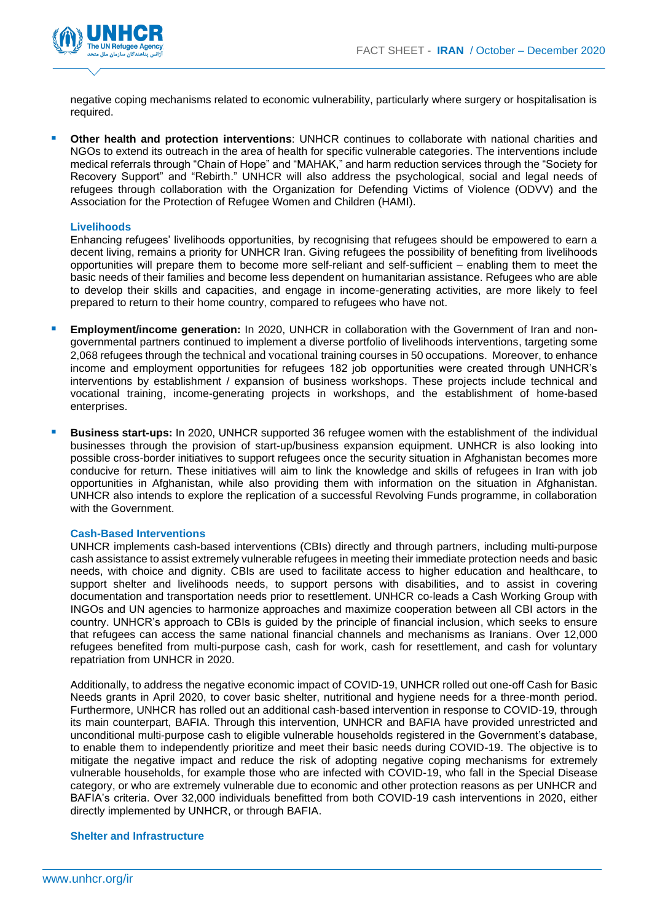

negative coping mechanisms related to economic vulnerability, particularly where surgery or hospitalisation is required.

**Other health and protection interventions**: UNHCR continues to collaborate with national charities and NGOs to extend its outreach in the area of health for specific vulnerable categories. The interventions include medical referrals through "Chain of Hope" and "MAHAK," and harm reduction services through the "Society for Recovery Support" and "Rebirth." UNHCR will also address the psychological, social and legal needs of refugees through collaboration with the Organization for Defending Victims of Violence (ODVV) and the Association for the Protection of Refugee Women and Children (HAMI).

#### **Livelihoods**

Enhancing refugees' livelihoods opportunities, by recognising that refugees should be empowered to earn a decent living, remains a priority for UNHCR Iran. Giving refugees the possibility of benefiting from livelihoods opportunities will prepare them to become more self-reliant and self-sufficient – enabling them to meet the basic needs of their families and become less dependent on humanitarian assistance. Refugees who are able to develop their skills and capacities, and engage in income-generating activities, are more likely to feel prepared to return to their home country, compared to refugees who have not.

- **Employment/income generation:** In 2020, UNHCR in collaboration with the Government of Iran and nongovernmental partners continued to implement a diverse portfolio of livelihoods interventions, targeting some 2,068 refugees through the technical and vocational training courses in 50 occupations. Moreover, to enhance income and employment opportunities for refugees 182 job opportunities were created through UNHCR's interventions by establishment / expansion of business workshops. These projects include technical and vocational training, income-generating projects in workshops, and the establishment of home-based enterprises.
- **Business start-ups:** In 2020, UNHCR supported 36 refugee women with the establishment of the individual businesses through the provision of start-up/business expansion equipment. UNHCR is also looking into possible cross-border initiatives to support refugees once the security situation in Afghanistan becomes more conducive for return. These initiatives will aim to link the knowledge and skills of refugees in Iran with job opportunities in Afghanistan, while also providing them with information on the situation in Afghanistan. UNHCR also intends to explore the replication of a successful Revolving Funds programme, in collaboration with the Government.

#### **Cash-Based Interventions**

UNHCR implements cash-based interventions (CBIs) directly and through partners, including multi-purpose cash assistance to assist extremely vulnerable refugees in meeting their immediate protection needs and basic needs, with choice and dignity. CBIs are used to facilitate access to higher education and healthcare, to support shelter and livelihoods needs, to support persons with disabilities, and to assist in covering documentation and transportation needs prior to resettlement. UNHCR co-leads a Cash Working Group with INGOs and UN agencies to harmonize approaches and maximize cooperation between all CBI actors in the country. UNHCR's approach to CBIs is guided by the principle of financial inclusion, which seeks to ensure that refugees can access the same national financial channels and mechanisms as Iranians. Over 12,000 refugees benefited from multi-purpose cash, cash for work, cash for resettlement, and cash for voluntary repatriation from UNHCR in 2020.

Additionally, to address the negative economic impact of COVID-19, UNHCR rolled out one-off Cash for Basic Needs grants in April 2020, to cover basic shelter, nutritional and hygiene needs for a three-month period. Furthermore, UNHCR has rolled out an additional cash-based intervention in response to COVID-19, through its main counterpart, BAFIA. Through this intervention, UNHCR and BAFIA have provided unrestricted and unconditional multi-purpose cash to eligible vulnerable households registered in the Government's database, to enable them to independently prioritize and meet their basic needs during COVID-19. The objective is to mitigate the negative impact and reduce the risk of adopting negative coping mechanisms for extremely vulnerable households, for example those who are infected with COVID-19, who fall in the Special Disease category, or who are extremely vulnerable due to economic and other protection reasons as per UNHCR and BAFIA's criteria. Over 32,000 individuals benefitted from both COVID-19 cash interventions in 2020, either directly implemented by UNHCR, or through BAFIA.

#### **Shelter and Infrastructure**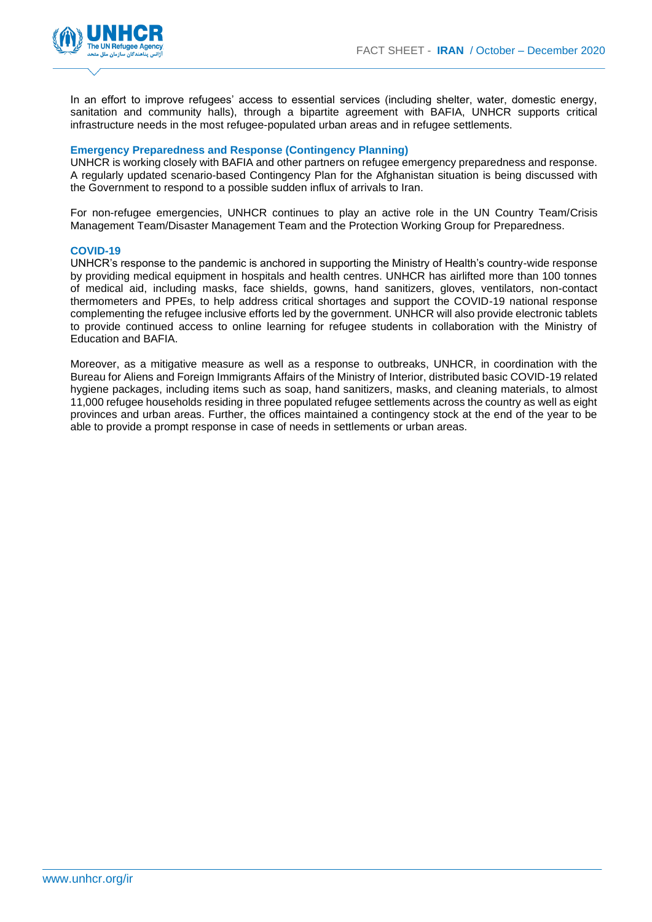

In an effort to improve refugees' access to essential services (including shelter, water, domestic energy, sanitation and community halls), through a bipartite agreement with BAFIA, UNHCR supports critical infrastructure needs in the most refugee-populated urban areas and in refugee settlements.

#### **Emergency Preparedness and Response (Contingency Planning)**

UNHCR is working closely with BAFIA and other partners on refugee emergency preparedness and response. A regularly updated scenario-based Contingency Plan for the Afghanistan situation is being discussed with the Government to respond to a possible sudden influx of arrivals to Iran.

For non-refugee emergencies, UNHCR continues to play an active role in the UN Country Team/Crisis Management Team/Disaster Management Team and the Protection Working Group for Preparedness.

#### **COVID-19**

UNHCR's response to the pandemic is anchored in supporting the Ministry of Health's country-wide response by providing medical equipment in hospitals and health centres. UNHCR has airlifted more than 100 tonnes of medical aid, including masks, face shields, gowns, hand sanitizers, gloves, ventilators, non-contact thermometers and PPEs, to help address critical shortages and support the COVID-19 national response complementing the refugee inclusive efforts led by the government. UNHCR will also provide electronic tablets to provide continued access to online learning for refugee students in collaboration with the Ministry of Education and BAFIA.

Moreover, as a mitigative measure as well as a response to outbreaks, UNHCR, in coordination with the Bureau for Aliens and Foreign Immigrants Affairs of the Ministry of Interior, distributed basic COVID-19 related hygiene packages, including items such as soap, hand sanitizers, masks, and cleaning materials, to almost 11,000 refugee households residing in three populated refugee settlements across the country as well as eight provinces and urban areas. Further, the offices maintained a contingency stock at the end of the year to be able to provide a prompt response in case of needs in settlements or urban areas.